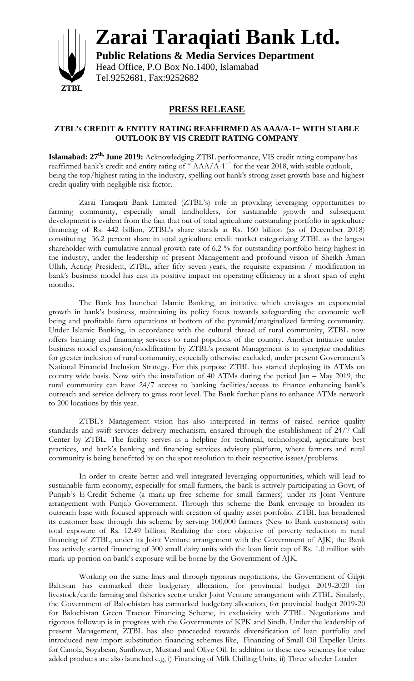

**Zarai Taraqiati Bank Ltd.**

**Public Relations & Media Services Department** Head Office, P.O Box No.1400, Islamabad Tel.9252681, Fax:9252682

## **PRESS RELEASE**

## **ZTBL's CREDIT & ENTITY RATING REAFFIRMED AS AAA/A-1+ WITH STABLE OUTLOOK BY VIS CREDIT RATING COMPANY**

**Islamabad: 27 th, June 2019:** Acknowledging ZTBL performance, VIS credit rating company has reaffirmed bank's credit and entity rating of "AAA/A-1<sup>+"</sup> for the year 2018, with stable outlook, being the top/highest rating in the industry, spelling out bank's strong asset growth base and highest credit quality with negligible risk factor.

Zarai Taraqiati Bank Limited (ZTBL's) role in providing leveraging opportunities to farming community, especially small landholders, for sustainable growth and subsequent development is evident from the fact that out of total agriculture outstanding portfolio in agriculture financing of Rs. 442 billion, ZTBL's share stands at Rs. 160 billion (as of December 2018) constituting 36.2 percent share in total agriculture credit market categorizing ZTBL as the largest shareholder with cumulative annual growth rate of 6.2 % for outstanding portfolio being highest in the industry, under the leadership of present Management and profound vision of Sheikh Aman Ullah, Acting President, ZTBL, after fifty seven years, the requisite expansion / modification in bank's business model has cast its positive impact on operating efficiency in a short span of eight months.

The Bank has launched Islamic Banking, an initiative which envisages an exponential growth in bank's business, maintaining its policy focus towards safeguarding the economic well being and profitable farm operations at bottom of the pyramid/marginalized farming community. Under Islamic Banking, in accordance with the cultural thread of rural community, ZTBL now offers banking and financing services to rural populous of the country. Another initiative under business model expansion/modification by ZTBL's present Management is to synergize modalities for greater inclusion of rural community, especially otherwise excluded, under present Government's National Financial Inclusion Strategy. For this purpose ZTBL has started deploying its ATMs on country wide basis. Now with the installation of 40 ATMs during the period Jan – May 2019, the rural community can have 24/7 access to banking facilities/access to finance enhancing bank's outreach and service delivery to grass root level. The Bank further plans to enhance ATMs network to 200 locations by this year.

ZTBL's Management vision has also interpreted in terms of raised service quality standards and swift services delivery mechanism, ensured through the establishment of 24/7 Call Center by ZTBL. The facility serves as a helpline for technical, technological, agriculture best practices, and bank's banking and financing services advisory platform, where farmers and rural community is being benefitted by on the spot resolution to their respective issues/problems.

In order to create better and well-integrated leveraging opportunities, which will lead to sustainable farm economy, especially for small farmers, the bank is actively participating in Govt, of Punjab's E-Credit Scheme (a mark-up free scheme for small farmers) under its Joint Venture arrangement with Punjab Government. Through this scheme the Bank envisage to broaden its outreach base with focused approach with creation of quality asset portfolio. ZTBL has broadened its customer base through this scheme by serving 100,000 farmers (New to Bank customers) with total exposure of Rs. 12.49 billion, Realizing the core objective of poverty reduction in rural financing of ZTBL, under its Joint Venture arrangement with the Government of AJK, the Bank has actively started financing of 300 small dairy units with the loan limit cap of Rs. 1.0 million with mark-up portion on bank's exposure will be borne by the Government of AJK.

Working on the same lines and through rigorous negotiations, the Government of Gilgit Baltistan has earmarked their budgetary allocation, for provincial budget 2019-2020 for livestock/cattle farming and fisheries sector under Joint Venture arrangement with ZTBL. Similarly, the Government of Balochistan has earmarked budgetary allocation, for provincial budget 2019-20 for Balochistan Green Tractor Financing Scheme, in exclusivity with ZTBL. Negotiations and rigorous followup is in progress with the Governments of KPK and Sindh. Under the leadership of present Management, ZTBL has also proceeded towards diversification of loan portfolio and introduced new import substitution financing schemes like, Financing of Small Oil Expeller Units for Canola, Soyabean, Sunflower, Mustard and Olive Oil. In addition to these new schemes for value added products are also launched e.g, i) Financing of Milk Chilling Units, ii) Three wheeler Loader